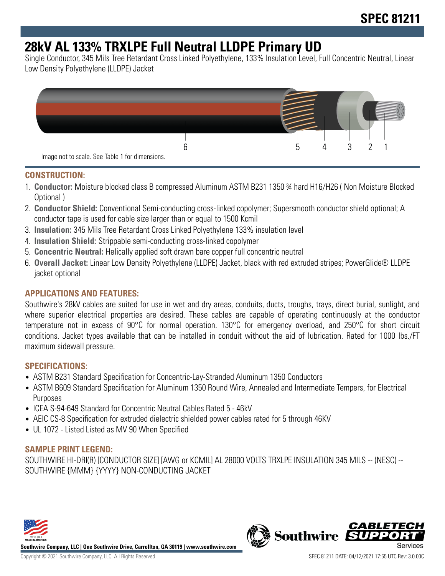# **28kV AL 133% TRXLPE Full Neutral LLDPE Primary UD**

Single Conductor, 345 Mils Tree Retardant Cross Linked Polyethylene, 133% Insulation Level, Full Concentric Neutral, Linear Low Density Polyethylene (LLDPE) Jacket



#### **CONSTRUCTION:**

- 1. **Conductor:** Moisture blocked class B compressed Aluminum ASTM B231 1350 ¾ hard H16/H26 ( Non Moisture Blocked Optional )
- 2. **Conductor Shield:** Conventional Semi-conducting cross-linked copolymer; Supersmooth conductor shield optional; A conductor tape is used for cable size larger than or equal to 1500 Kcmil
- 3. **Insulation:** 345 Mils Tree Retardant Cross Linked Polyethylene 133% insulation level
- 4. **Insulation Shield:** Strippable semi-conducting cross-linked copolymer
- 5. **Concentric Neutral:** Helically applied soft drawn bare copper full concentric neutral
- 6. **Overall Jacket:** Linear Low Density Polyethylene (LLDPE) Jacket, black with red extruded stripes; PowerGlide® LLDPE jacket optional

## **APPLICATIONS AND FEATURES:**

Southwire's 28kV cables are suited for use in wet and dry areas, conduits, ducts, troughs, trays, direct burial, sunlight, and where superior electrical properties are desired. These cables are capable of operating continuously at the conductor temperature not in excess of 90°C for normal operation. 130°C for emergency overload, and 250°C for short circuit conditions. Jacket types available that can be installed in conduit without the aid of lubrication. Rated for 1000 lbs./FT maximum sidewall pressure.

#### **SPECIFICATIONS:**

- ASTM B231 Standard Specification for Concentric-Lay-Stranded Aluminum 1350 Conductors
- ASTM B609 Standard Specification for Aluminum 1350 Round Wire, Annealed and Intermediate Tempers, for Electrical Purposes
- ICEA S-94-649 Standard for Concentric Neutral Cables Rated 5 46kV
- AEIC CS-8 Specification for extruded dielectric shielded power cables rated for 5 through 46KV
- UL 1072 Listed Listed as MV 90 When Specified

## **SAMPLE PRINT LEGEND:**

SOUTHWIRE HI-DRI(R) [CONDUCTOR SIZE] [AWG or KCMIL] AL 28000 VOLTS TRXLPE INSULATION 345 MILS -- (NESC) -- SOUTHWIRE {MMM} {YYYY} NON-CONDUCTING JACKET



**Southwire Company, LLC | One Southwire Drive, Carrollton, GA 30119 | www.southwire.com**

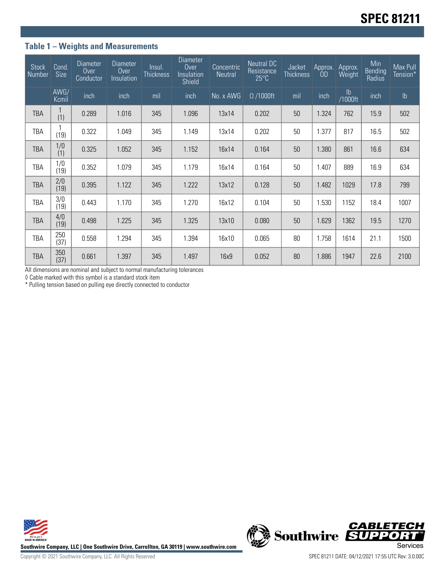## **Table 1 – Weights and Measurements**

| <b>Stock</b><br>Number | Cond.<br><b>Size</b> | <b>Diameter</b><br>Over<br>Conductor | Diameter<br>Over<br>Insulation | Insul.<br><b>Thickness</b> | <b>Diameter</b><br>Over<br>Insulation<br><b>Shield</b> | Concentric<br>Neutral | <b>Neutral DC</b><br>Resistance<br>$25^{\circ}$ C | Jacket<br><b>Thickness</b> | Approx.<br>0D | Approx.<br>Weight | Min<br>Bending<br>Radius | Max Pull<br>Tension* |
|------------------------|----------------------|--------------------------------------|--------------------------------|----------------------------|--------------------------------------------------------|-----------------------|---------------------------------------------------|----------------------------|---------------|-------------------|--------------------------|----------------------|
|                        | AWG/<br>Kcmil        | inch                                 | inch                           | mil                        | inch                                                   | No. x AWG             | $\Omega$ /1000ft                                  | mil                        | inch          | lb<br>1000ft/     | inch                     | $\mathsf{lb}$        |
| <b>TBA</b>             | (1)                  | 0.289                                | 1.016                          | 345                        | 1.096                                                  | 13x14                 | 0.202                                             | 50                         | 1.324         | 762               | 15.9                     | 502                  |
| TBA                    | (19)                 | 0.322                                | 1.049                          | 345                        | 1.149                                                  | 13x14                 | 0.202                                             | 50                         | 1.377         | 817               | 16.5                     | 502                  |
| <b>TBA</b>             | 1/0<br>(1)           | 0.325                                | 1.052                          | 345                        | 1.152                                                  | 16x14                 | 0.164                                             | 50                         | 1.380         | 861               | 16.6                     | 634                  |
| TBA                    | 1/0<br>(19)          | 0.352                                | 1.079                          | 345                        | 1.179                                                  | 16x14                 | 0.164                                             | 50                         | 1.407         | 889               | 16.9                     | 634                  |
| <b>TBA</b>             | 2/0<br>(19)          | 0.395                                | 1.122                          | 345                        | 1.222                                                  | 13x12                 | 0.128                                             | 50                         | 1.482         | 1029              | 17.8                     | 799                  |
| <b>TBA</b>             | 3/0<br>(19)          | 0.443                                | 1.170                          | 345                        | 1.270                                                  | 16x12                 | 0.104                                             | 50                         | 1.530         | 1152              | 18.4                     | 1007                 |
| <b>TBA</b>             | 4/0<br>(19)          | 0.498                                | 1.225                          | 345                        | 1.325                                                  | 13x10                 | 0.080                                             | 50                         | 1.629         | 1362              | 19.5                     | 1270                 |
| <b>TBA</b>             | 250<br>(37)          | 0.558                                | 1.294                          | 345                        | 1.394                                                  | 16x10                 | 0.065                                             | 80                         | 1.758         | 1614              | 21.1                     | 1500                 |
| <b>TBA</b>             | 350<br>(37)          | 0.661                                | 1.397                          | 345                        | 1.497                                                  | 16x9                  | 0.052                                             | 80                         | 1.886         | 1947              | 22.6                     | 2100                 |

All dimensions are nominal and subject to normal manufacturing tolerances

◊ Cable marked with this symbol is a standard stock item

\* Pulling tension based on pulling eye directly connected to conductor



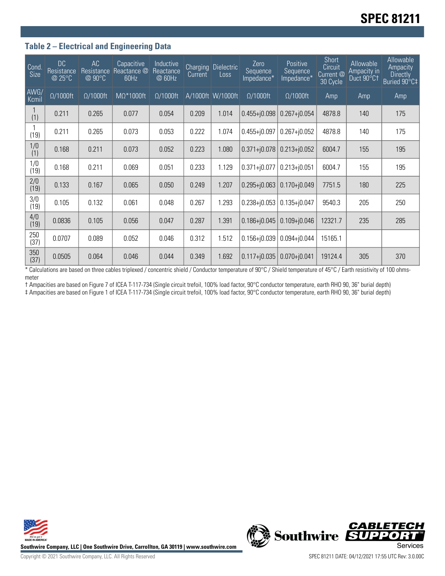## **Table 2 – Electrical and Engineering Data**

| Cond.<br><b>Size</b> | DC<br>Resistance<br>@ 25°C | AC<br>Resistance<br>@ 90°C | Capacitive<br>Reactance @<br>60Hz | Inductive<br>Reactance<br>@ 60Hz | Charging<br>Current | Dielectric<br>Loss | Zero<br>Sequence<br>Impedance* | Positive<br>Sequence<br>Impedance* | <b>Short</b><br>Circuit<br>Current <sup>@</sup><br>30 Cycle | Allowable<br>Ampacity in<br>Duct 90°C1 | Allowable<br>Ampacity<br><b>Directly</b><br>Buried 90°C‡ |
|----------------------|----------------------------|----------------------------|-----------------------------------|----------------------------------|---------------------|--------------------|--------------------------------|------------------------------------|-------------------------------------------------------------|----------------------------------------|----------------------------------------------------------|
| AWG/<br>Kcmil        | $\Omega/1000$ ft           | $\Omega/1000$ ft           | MΩ*1000ft                         | $\Omega/1000$ ft                 |                     | A/1000ft W/1000ft  | $\Omega/1000$ ft               | $\Omega/1000$ ft                   | Amp                                                         | Amp                                    | Amp                                                      |
| (1)                  | 0.211                      | 0.265                      | 0.077                             | 0.054                            | 0.209               | 1.014              | $0.455 + j0.098$               | $0.267 + j0.054$                   | 4878.8                                                      | 140                                    | 175                                                      |
| (19)                 | 0.211                      | 0.265                      | 0.073                             | 0.053                            | 0.222               | 1.074              | $0.455 + j0.097$               | $0.267 + j0.052$                   | 4878.8                                                      | 140                                    | 175                                                      |
| 1/0<br>(1)           | 0.168                      | 0.211                      | 0.073                             | 0.052                            | 0.223               | 1.080              | $0.371 + 0.078$                | $0.213 + j0.052$                   | 6004.7                                                      | 155                                    | 195                                                      |
| 1/0<br>(19)          | 0.168                      | 0.211                      | 0.069                             | 0.051                            | 0.233               | 1.129              | $0.371 + j0.077$               | $0.213 + j0.051$                   | 6004.7                                                      | 155                                    | 195                                                      |
| 2/0<br>(19)          | 0.133                      | 0.167                      | 0.065                             | 0.050                            | 0.249               | 1.207              | $0.295 + 0.063$                | $0.170 + j0.049$                   | 7751.5                                                      | 180                                    | 225                                                      |
| 3/0<br>(19)          | 0.105                      | 0.132                      | 0.061                             | 0.048                            | 0.267               | 1.293              | $0.238 + j0.053$               | $0.135 + j0.047$                   | 9540.3                                                      | 205                                    | 250                                                      |
| 4/0<br>(19)          | 0.0836                     | 0.105                      | 0.056                             | 0.047                            | 0.287               | 1.391              | $0.186 + 0.045$                | $0.109 + j0.046$                   | 12321.7                                                     | 235                                    | 285                                                      |
| 250<br>(37)          | 0.0707                     | 0.089                      | 0.052                             | 0.046                            | 0.312               | 1.512              | $0.156 + j0.039$               | $0.094 + j0.044$                   | 15165.1                                                     |                                        |                                                          |
| 350<br>(37)          | 0.0505                     | 0.064                      | 0.046                             | 0.044                            | 0.349               | 1.692              | $0.117 + 0.035$                | $0.070 + j0.041$                   | 19124.4                                                     | 305                                    | 370                                                      |

\* Calculations are based on three cables triplexed / concentric shield / Conductor temperature of 90°C / Shield temperature of 45°C / Earth resistivity of 100 ohmsmeter

† Ampacities are based on Figure 7 of ICEA T-117-734 (Single circuit trefoil, 100% load factor, 90°C conductor temperature, earth RHO 90, 36" burial depth)

‡ Ampacities are based on Figure 1 of ICEA T-117-734 (Single circuit trefoil, 100% load factor, 90°C conductor temperature, earth RHO 90, 36" burial depth)





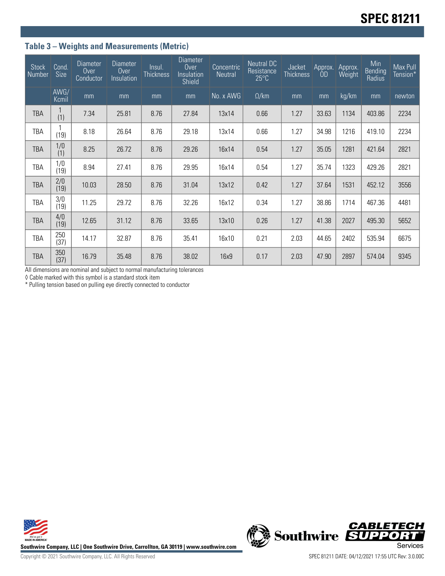# **Table 3 – Weights and Measurements (Metric)**

| <b>Stock</b><br>Number | Cond.<br><b>Size</b> | <b>Diameter</b><br>Over<br>Conductor | Diameter<br>Over<br>Insulation | Insul.<br><b>Thickness</b> | <b>Diameter</b><br>Over<br>Insulation<br><b>Shield</b> | Concentric<br>Neutral | Neutral DC<br>Resistance<br>$25^{\circ}$ C | Jacket<br><b>Thickness</b> | Approx.<br>OD) | Approx.<br>Weight | Min<br>Bending<br>Radius | Max Pull<br>Tension* |
|------------------------|----------------------|--------------------------------------|--------------------------------|----------------------------|--------------------------------------------------------|-----------------------|--------------------------------------------|----------------------------|----------------|-------------------|--------------------------|----------------------|
|                        | AWG/<br>Kcmil        | mm                                   | mm                             | mm                         | mm                                                     | No. x AWG             | $\Omega$ /km                               | mm                         | mm             | kg/km             | mm                       | newton               |
| <b>TBA</b>             | (1)                  | 7.34                                 | 25.81                          | 8.76                       | 27.84                                                  | 13x14                 | 0.66                                       | 1.27                       | 33.63          | 1134              | 403.86                   | 2234                 |
| TBA                    | (19)                 | 8.18                                 | 26.64                          | 8.76                       | 29.18                                                  | 13x14                 | 0.66                                       | 1.27                       | 34.98          | 1216              | 419.10                   | 2234                 |
| <b>TBA</b>             | 1/0<br>(1)           | 8.25                                 | 26.72                          | 8.76                       | 29.26                                                  | 16x14                 | 0.54                                       | 1.27                       | 35.05          | 1281              | 421.64                   | 2821                 |
| TBA                    | 1/0<br>(19)          | 8.94                                 | 27.41                          | 8.76                       | 29.95                                                  | 16x14                 | 0.54                                       | 1.27                       | 35.74          | 1323              | 429.26                   | 2821                 |
| <b>TBA</b>             | 2/0<br>(19)          | 10.03                                | 28.50                          | 8.76                       | 31.04                                                  | 13x12                 | 0.42                                       | 1.27                       | 37.64          | 1531              | 452.12                   | 3556                 |
| <b>TBA</b>             | 3/0<br>(19)          | 11.25                                | 29.72                          | 8.76                       | 32.26                                                  | 16x12                 | 0.34                                       | 1.27                       | 38.86          | 1714              | 467.36                   | 4481                 |
| TBA                    | 4/0<br>(19)          | 12.65                                | 31.12                          | 8.76                       | 33.65                                                  | 13x10                 | 0.26                                       | 1.27                       | 41.38          | 2027              | 495.30                   | 5652                 |
| TBA                    | 250<br>(37)          | 14.17                                | 32.87                          | 8.76                       | 35.41                                                  | 16x10                 | 0.21                                       | 2.03                       | 44.65          | 2402              | 535.94                   | 6675                 |
| TBA                    | 350<br>(37)          | 16.79                                | 35.48                          | 8.76                       | 38.02                                                  | 16x9                  | 0.17                                       | 2.03                       | 47.90          | 2897              | 574.04                   | 9345                 |

All dimensions are nominal and subject to normal manufacturing tolerances

◊ Cable marked with this symbol is a standard stock item

\* Pulling tension based on pulling eye directly connected to conductor